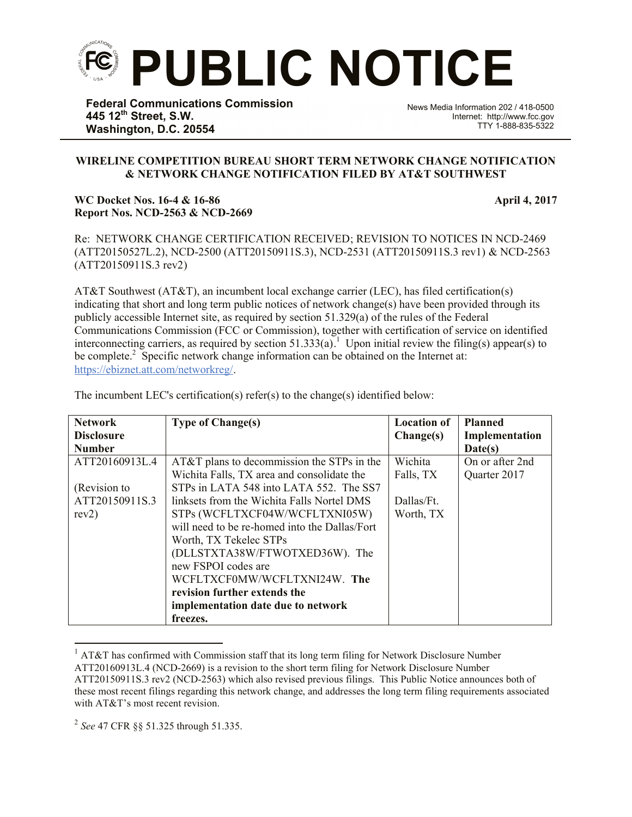

**Federal Communications Commission 445 12th Street, S.W. Washington, D.C. 20554**

News Media Information 202 / 418-0500 Internet: http://www.fcc.gov TTY 1-888-835-5322

## **WIRELINE COMPETITION BUREAU SHORT TERM NETWORK CHANGE NOTIFICATION & NETWORK CHANGE NOTIFICATION FILED BY AT&T SOUTHWEST**

## **WC Docket Nos. 16-4 & 16-86 April 4, 2017 Report Nos. NCD-2563 & NCD-2669**

Re: NETWORK CHANGE CERTIFICATION RECEIVED; REVISION TO NOTICES IN NCD-2469 (ATT20150527L.2), NCD-2500 (ATT20150911S.3), NCD-2531 (ATT20150911S.3 rev1) & NCD-2563 (ATT20150911S.3 rev2)

AT&T Southwest (AT&T), an incumbent local exchange carrier (LEC), has filed certification(s) indicating that short and long term public notices of network change(s) have been provided through its publicly accessible Internet site, as required by section 51.329(a) of the rules of the Federal Communications Commission (FCC or Commission), together with certification of service on identified interconnecting carriers, as required by section  $51.333(a)$ .<sup>1</sup> Upon initial review the filing(s) appear(s) to be complete.<sup>2</sup> Specific network change information can be obtained on the Internet at: https://ebiznet.att.com/networkreg/.

| <b>Network</b>    | <b>Type of Change(s)</b>                      | <b>Location of</b> | <b>Planned</b>  |
|-------------------|-----------------------------------------------|--------------------|-----------------|
| <b>Disclosure</b> |                                               | Change(s)          | Implementation  |
| <b>Number</b>     |                                               |                    | Date(s)         |
| ATT20160913L.4    | AT&T plans to decommission the STPs in the    | Wichita            | On or after 2nd |
|                   | Wichita Falls, TX area and consolidate the    | Falls, TX          | Quarter 2017    |
| (Revision to      | STPs in LATA 548 into LATA 552. The SS7       |                    |                 |
| ATT20150911S.3    | linksets from the Wichita Falls Nortel DMS    | Dallas/Ft.         |                 |
| rev2)             | STPs (WCFLTXCF04W/WCFLTXNI05W)                | Worth, TX          |                 |
|                   | will need to be re-homed into the Dallas/Fort |                    |                 |
|                   | Worth, TX Tekelec STPs                        |                    |                 |
|                   | (DLLSTXTA38W/FTWOTXED36W). The                |                    |                 |
|                   | new FSPOI codes are                           |                    |                 |
|                   | WCFLTXCF0MW/WCFLTXNI24W. The                  |                    |                 |
|                   | revision further extends the                  |                    |                 |
|                   | implementation date due to network            |                    |                 |
|                   | freezes.                                      |                    |                 |

The incumbent LEC's certification(s) refer(s) to the change(s) identified below:

2 *See* 47 CFR §§ 51.325 through 51.335.

l

<sup>&</sup>lt;sup>1</sup> AT&T has confirmed with Commission staff that its long term filing for Network Disclosure Number ATT20160913L.4 (NCD-2669) is a revision to the short term filing for Network Disclosure Number ATT20150911S.3 rev2 (NCD-2563) which also revised previous filings. This Public Notice announces both of these most recent filings regarding this network change, and addresses the long term filing requirements associated with AT&T's most recent revision.